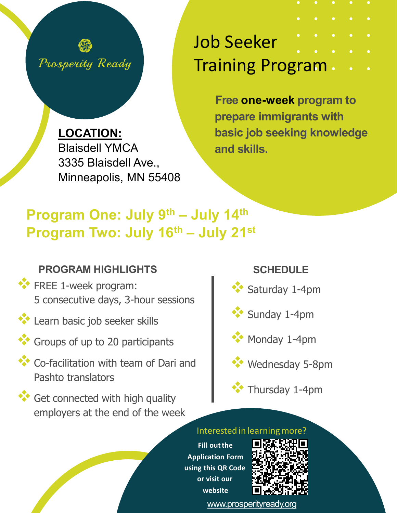

Job Seeker Training Program

> **Free one-week program to prepare immigrants with basic job seeking knowledge and skills.**

**LOCATION:**  Blaisdell YMCA 3335 Blaisdell Ave., Minneapolis, MN 55408

# **Program One: July 9th – July 14th Program Two: July 16th – July 21st**

# **PROGRAM HIGHLIGHTS**

- **\*\*** FREE 1-week program: 5 consecutive days, 3-hour sessions
- **Learn basic job seeker skills**
- **Groups of up to 20 participants**
- **Co-facilitation with team of Dari and** Pashto translators
- Get connected with high quality employers at the end of the week

# **SCHEDULE**

Saturday 1-4pm



**Monday 1-4pm** 



Thursday 1-4pm

#### Interested in learningmore?

**Fill outthe Application Form using this QR Code or visit our website**



[www.prosperityready.org](http://www.prosperityready.org/)